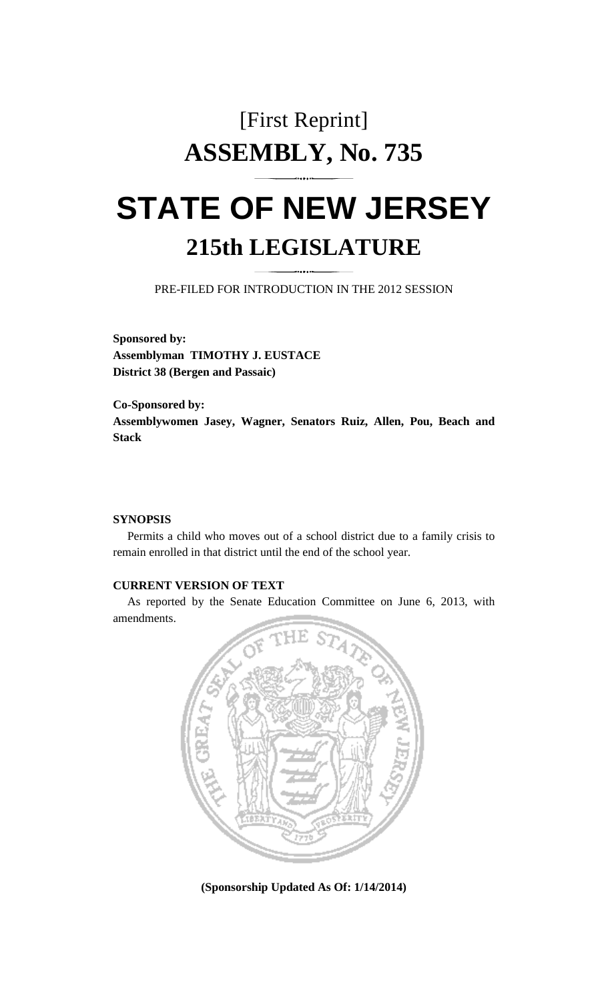## [First Reprint] **ASSEMBLY, No. 735**

# **STATE OF NEW JERSEY 215th LEGISLATURE**

PRE-FILED FOR INTRODUCTION IN THE 2012 SESSION

**Sponsored by: Assemblyman TIMOTHY J. EUSTACE District 38 (Bergen and Passaic)** 

**Co-Sponsored by: Assemblywomen Jasey, Wagner, Senators Ruiz, Allen, Pou, Beach and Stack** 

#### **SYNOPSIS**

 Permits a child who moves out of a school district due to a family crisis to remain enrolled in that district until the end of the school year.

### **CURRENT VERSION OF TEXT**

 As reported by the Senate Education Committee on June 6, 2013, with amendments.



**(Sponsorship Updated As Of: 1/14/2014)**